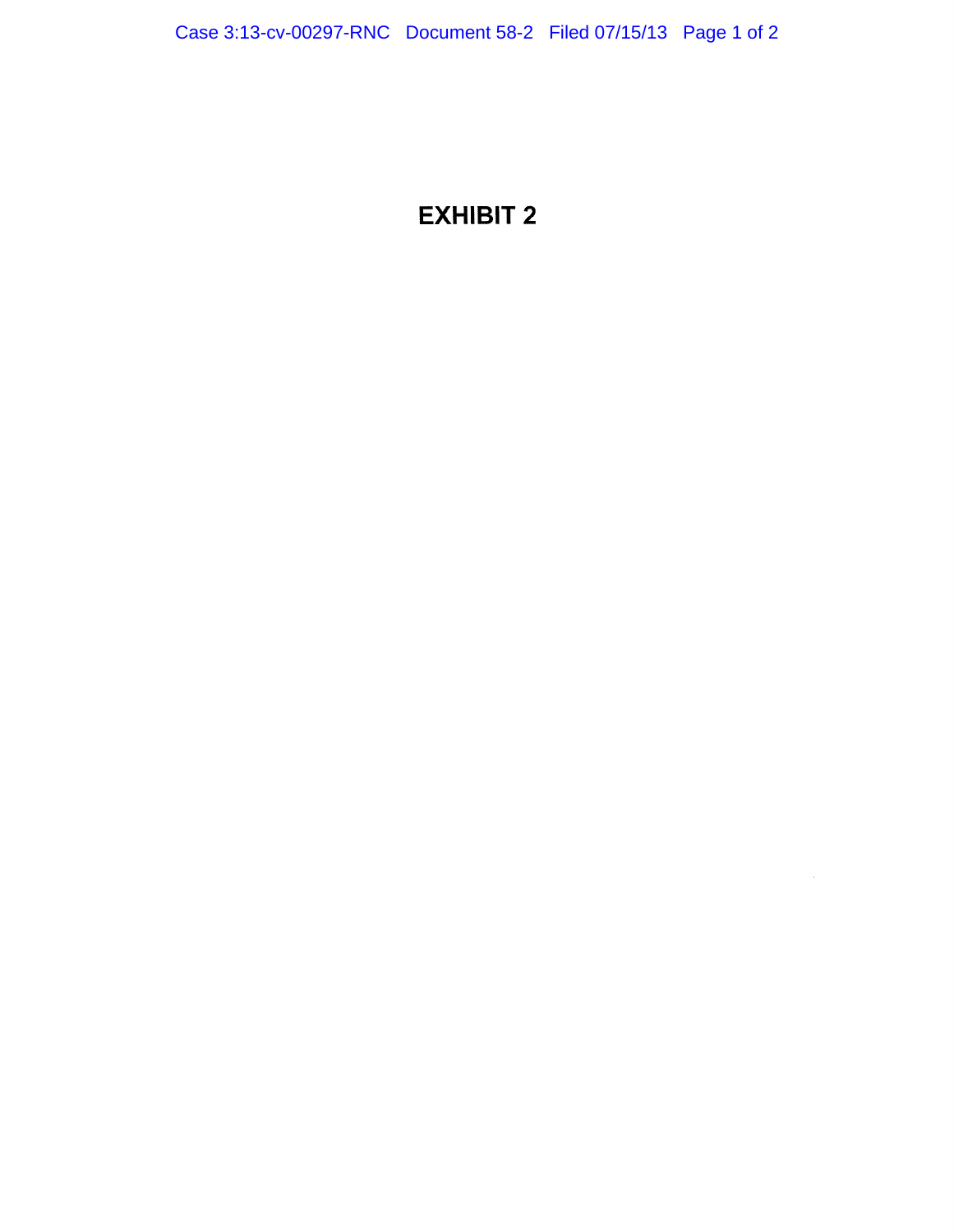## EXHIBIT 2